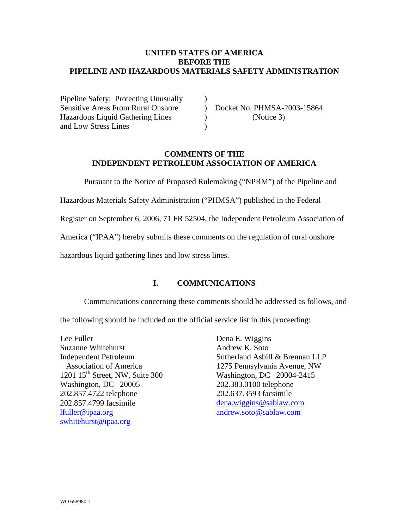### **UNITED STATES OF AMERICA BEFORE THE PIPELINE AND HAZARDOUS MATERIALS SAFETY ADMINISTRATION**

Pipeline Safety: Protecting Unusually (a) Sensitive Areas From Rural Onshore ) Docket No. PHMSA-2003-15864 Hazardous Liquid Gathering Lines (Notice 3) and Low Stress Lines (1988)

# **COMMENTS OF THE INDEPENDENT PETROLEUM ASSOCIATION OF AMERICA**

Pursuant to the Notice of Proposed Rulemaking ("NPRM") of the Pipeline and

Hazardous Materials Safety Administration ("PHMSA") published in the Federal

Register on September 6, 2006, 71 FR 52504, the Independent Petroleum Association of

America ("IPAA") hereby submits these comments on the regulation of rural onshore

hazardous liquid gathering lines and low stress lines.

## **I. COMMUNICATIONS**

Communications concerning these comments should be addressed as follows, and

the following should be included on the official service list in this proceeding:

Lee Fuller Suzanne Whitehurst Independent Petroleum Association of America 1201  $15<sup>th</sup>$  Street, NW, Suite 300 Washington, DC 20005 202.857.4722 telephone 202.857.4799 facsimile [lfuller@ipaa.org](mailto:lfuller@ipaa.org) [swhitehurst@ipaa.org](mailto:swhitehurst@ipaa.org)

Dena E. Wiggins Andrew K. Soto Sutherland Asbill & Brennan LLP 1275 Pennsylvania Avenue, NW Washington, DC 20004-2415 202.383.0100 telephone 202.637.3593 facsimile [dena.wiggins@sablaw.com](mailto:dena.wiggins@sablaw.com) [andrew.soto@sablaw.com](mailto:andrew.soto@sablaw.com)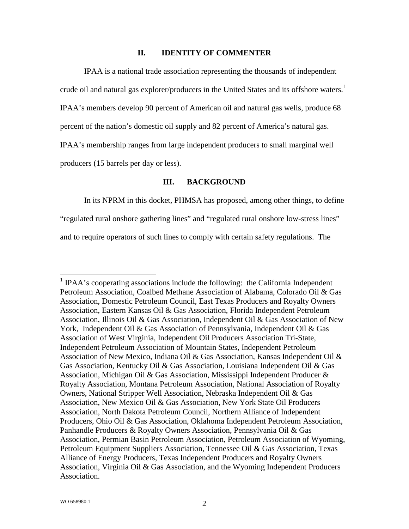### **II. IDENTITY OF COMMENTER**

IPAA is a national trade association representing the thousands of independent crude oil and natural gas explorer/producers in the United States and its offshore waters.<sup>[1](#page-1-0)</sup> IPAA's members develop 90 percent of American oil and natural gas wells, produce 68 percent of the nation's domestic oil supply and 82 percent of America's natural gas. IPAA's membership ranges from large independent producers to small marginal well producers (15 barrels per day or less).

#### **III. BACKGROUND**

In its NPRM in this docket, PHMSA has proposed, among other things, to define

"regulated rural onshore gathering lines" and "regulated rural onshore low-stress lines"

and to require operators of such lines to comply with certain safety regulations. The

<span id="page-1-0"></span><sup>&</sup>lt;sup>1</sup> IPAA's cooperating associations include the following: the California Independent Petroleum Association, Coalbed Methane Association of Alabama, Colorado Oil & Gas Association, Domestic Petroleum Council, East Texas Producers and Royalty Owners Association, Eastern Kansas Oil & Gas Association, Florida Independent Petroleum Association, Illinois Oil & Gas Association, Independent Oil & Gas Association of New York, Independent Oil & Gas Association of Pennsylvania, Independent Oil & Gas Association of West Virginia, Independent Oil Producers Association Tri-State, Independent Petroleum Association of Mountain States, Independent Petroleum Association of New Mexico, Indiana Oil & Gas Association, Kansas Independent Oil & Gas Association, Kentucky Oil & Gas Association, Louisiana Independent Oil & Gas Association, Michigan Oil & Gas Association, Mississippi Independent Producer & Royalty Association, Montana Petroleum Association, National Association of Royalty Owners, National Stripper Well Association, Nebraska Independent Oil & Gas Association, New Mexico Oil & Gas Association, New York State Oil Producers Association, North Dakota Petroleum Council, Northern Alliance of Independent Producers, Ohio Oil & Gas Association, Oklahoma Independent Petroleum Association, Panhandle Producers & Royalty Owners Association, Pennsylvania Oil & Gas Association, Permian Basin Petroleum Association, Petroleum Association of Wyoming, Petroleum Equipment Suppliers Association, Tennessee Oil & Gas Association, Texas Alliance of Energy Producers, Texas Independent Producers and Royalty Owners Association, Virginia Oil & Gas Association, and the Wyoming Independent Producers Association.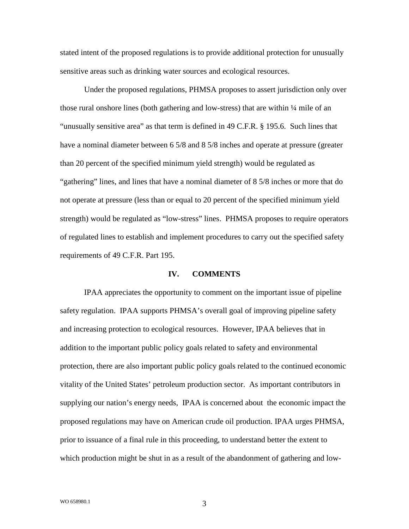stated intent of the proposed regulations is to provide additional protection for unusually sensitive areas such as drinking water sources and ecological resources.

Under the proposed regulations, PHMSA proposes to assert jurisdiction only over those rural onshore lines (both gathering and low-stress) that are within  $\frac{1}{4}$  mile of an "unusually sensitive area" as that term is defined in 49 C.F.R. § 195.6. Such lines that have a nominal diameter between 6 5/8 and 8 5/8 inches and operate at pressure (greater than 20 percent of the specified minimum yield strength) would be regulated as "gathering" lines, and lines that have a nominal diameter of 8 5/8 inches or more that do not operate at pressure (less than or equal to 20 percent of the specified minimum yield strength) would be regulated as "low-stress" lines. PHMSA proposes to require operators of regulated lines to establish and implement procedures to carry out the specified safety requirements of 49 C.F.R. Part 195.

#### **IV. COMMENTS**

IPAA appreciates the opportunity to comment on the important issue of pipeline safety regulation. IPAA supports PHMSA's overall goal of improving pipeline safety and increasing protection to ecological resources. However, IPAA believes that in addition to the important public policy goals related to safety and environmental protection, there are also important public policy goals related to the continued economic vitality of the United States' petroleum production sector. As important contributors in supplying our nation's energy needs, IPAA is concerned about the economic impact the proposed regulations may have on American crude oil production. IPAA urges PHMSA, prior to issuance of a final rule in this proceeding, to understand better the extent to which production might be shut in as a result of the abandonment of gathering and low-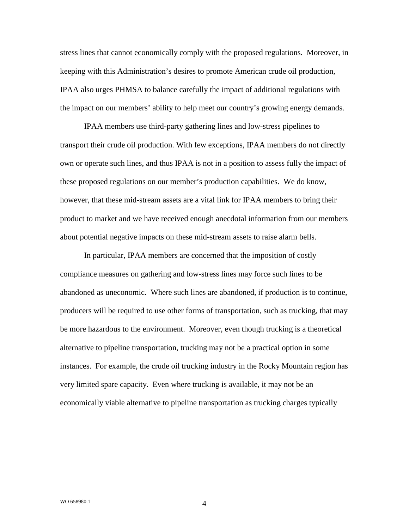stress lines that cannot economically comply with the proposed regulations. Moreover, in keeping with this Administration's desires to promote American crude oil production, IPAA also urges PHMSA to balance carefully the impact of additional regulations with the impact on our members' ability to help meet our country's growing energy demands.

IPAA members use third-party gathering lines and low-stress pipelines to transport their crude oil production. With few exceptions, IPAA members do not directly own or operate such lines, and thus IPAA is not in a position to assess fully the impact of these proposed regulations on our member's production capabilities. We do know, however, that these mid-stream assets are a vital link for IPAA members to bring their product to market and we have received enough anecdotal information from our members about potential negative impacts on these mid-stream assets to raise alarm bells.

In particular, IPAA members are concerned that the imposition of costly compliance measures on gathering and low-stress lines may force such lines to be abandoned as uneconomic. Where such lines are abandoned, if production is to continue, producers will be required to use other forms of transportation, such as trucking, that may be more hazardous to the environment. Moreover, even though trucking is a theoretical alternative to pipeline transportation, trucking may not be a practical option in some instances. For example, the crude oil trucking industry in the Rocky Mountain region has very limited spare capacity. Even where trucking is available, it may not be an economically viable alternative to pipeline transportation as trucking charges typically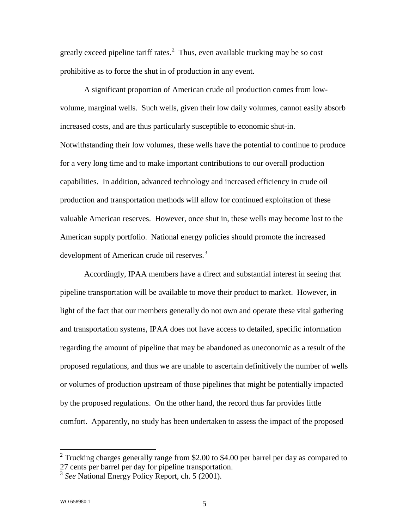greatly exceed pipeline tariff rates. $2$  Thus, even available trucking may be so cost prohibitive as to force the shut in of production in any event.

A significant proportion of American crude oil production comes from lowvolume, marginal wells. Such wells, given their low daily volumes, cannot easily absorb increased costs, and are thus particularly susceptible to economic shut-in. Notwithstanding their low volumes, these wells have the potential to continue to produce for a very long time and to make important contributions to our overall production capabilities. In addition, advanced technology and increased efficiency in crude oil production and transportation methods will allow for continued exploitation of these valuable American reserves. However, once shut in, these wells may become lost to the American supply portfolio. National energy policies should promote the increased development of American crude oil reserves.<sup>[3](#page-4-1)</sup>

Accordingly, IPAA members have a direct and substantial interest in seeing that pipeline transportation will be available to move their product to market. However, in light of the fact that our members generally do not own and operate these vital gathering and transportation systems, IPAA does not have access to detailed, specific information regarding the amount of pipeline that may be abandoned as uneconomic as a result of the proposed regulations, and thus we are unable to ascertain definitively the number of wells or volumes of production upstream of those pipelines that might be potentially impacted by the proposed regulations. On the other hand, the record thus far provides little comfort. Apparently, no study has been undertaken to assess the impact of the proposed

<span id="page-4-0"></span><sup>&</sup>lt;sup>2</sup> Trucking charges generally range from \$2.00 to \$4.00 per barrel per day as compared to 27 cents per barrel per day for pipeline transportation.

<span id="page-4-1"></span><sup>3</sup> *See* National Energy Policy Report, ch. 5 (2001).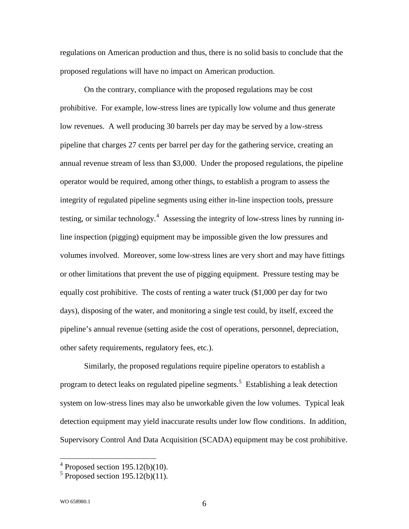regulations on American production and thus, there is no solid basis to conclude that the proposed regulations will have no impact on American production.

On the contrary, compliance with the proposed regulations may be cost prohibitive. For example, low-stress lines are typically low volume and thus generate low revenues. A well producing 30 barrels per day may be served by a low-stress pipeline that charges 27 cents per barrel per day for the gathering service, creating an annual revenue stream of less than \$3,000. Under the proposed regulations, the pipeline operator would be required, among other things, to establish a program to assess the integrity of regulated pipeline segments using either in-line inspection tools, pressure testing, or similar technology.<sup>[4](#page-5-0)</sup> Assessing the integrity of low-stress lines by running inline inspection (pigging) equipment may be impossible given the low pressures and volumes involved. Moreover, some low-stress lines are very short and may have fittings or other limitations that prevent the use of pigging equipment. Pressure testing may be equally cost prohibitive. The costs of renting a water truck (\$1,000 per day for two days), disposing of the water, and monitoring a single test could, by itself, exceed the pipeline's annual revenue (setting aside the cost of operations, personnel, depreciation, other safety requirements, regulatory fees, etc.).

Similarly, the proposed regulations require pipeline operators to establish a program to detect leaks on regulated pipeline segments.<sup>[5](#page-5-1)</sup> Establishing a leak detection system on low-stress lines may also be unworkable given the low volumes. Typical leak detection equipment may yield inaccurate results under low flow conditions. In addition, Supervisory Control And Data Acquisition (SCADA) equipment may be cost prohibitive.

<span id="page-5-0"></span> $4$  Proposed section 195.12(b)(10).

<span id="page-5-1"></span> $<sup>5</sup>$  Proposed section 195.12(b)(11).</sup>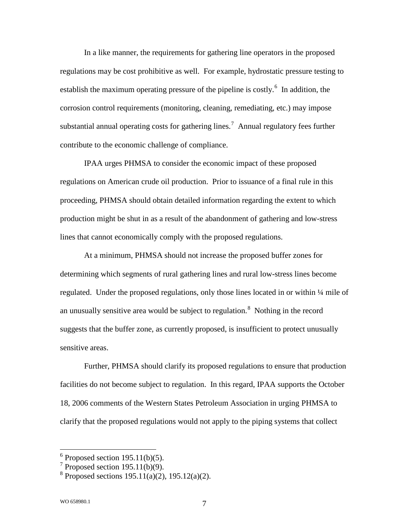In a like manner, the requirements for gathering line operators in the proposed regulations may be cost prohibitive as well. For example, hydrostatic pressure testing to establish the maximum operating pressure of the pipeline is costly.<sup>[6](#page-6-0)</sup> In addition, the corrosion control requirements (monitoring, cleaning, remediating, etc.) may impose substantial annual operating costs for gathering lines.<sup>[7](#page-6-1)</sup> Annual regulatory fees further contribute to the economic challenge of compliance.

IPAA urges PHMSA to consider the economic impact of these proposed regulations on American crude oil production. Prior to issuance of a final rule in this proceeding, PHMSA should obtain detailed information regarding the extent to which production might be shut in as a result of the abandonment of gathering and low-stress lines that cannot economically comply with the proposed regulations.

At a minimum, PHMSA should not increase the proposed buffer zones for determining which segments of rural gathering lines and rural low-stress lines become regulated. Under the proposed regulations, only those lines located in or within ¼ mile of an unusually sensitive area would be subject to regulation.<sup>[8](#page-6-2)</sup> Nothing in the record suggests that the buffer zone, as currently proposed, is insufficient to protect unusually sensitive areas.

Further, PHMSA should clarify its proposed regulations to ensure that production facilities do not become subject to regulation. In this regard, IPAA supports the October 18, 2006 comments of the Western States Petroleum Association in urging PHMSA to clarify that the proposed regulations would not apply to the piping systems that collect

<span id="page-6-0"></span> $6$  Proposed section 195.11(b)(5).

<span id="page-6-1"></span> $7$  Proposed section 195.11(b)(9).

<span id="page-6-2"></span> $8$  Proposed sections 195.11(a)(2), 195.12(a)(2).